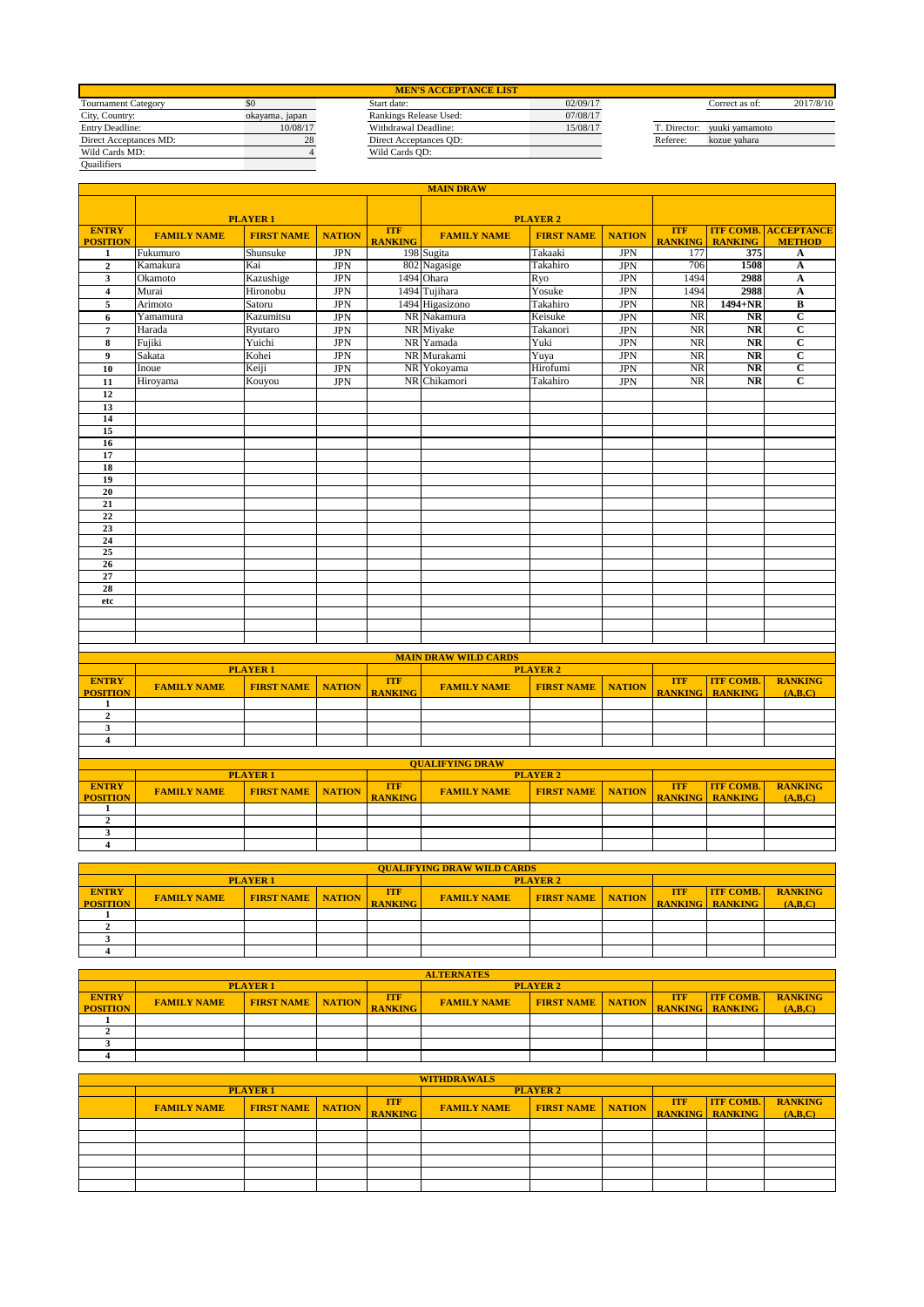| <b>MEN'S ACCEPTANCE LIST</b> |                |                        |          |              |                |           |  |  |  |  |  |
|------------------------------|----------------|------------------------|----------|--------------|----------------|-----------|--|--|--|--|--|
| <b>Tournament Category</b>   | \$0            | Start date:            | 02/09/17 |              | Correct as of: | 2017/8/10 |  |  |  |  |  |
| City, Country:               | okayama, japan | Rankings Release Used: | 07/08/17 |              |                |           |  |  |  |  |  |
| Entry Deadline:              | 10/08/17       | Withdrawal Deadline:   | 15/08/17 | T. Director: | vuuki vamamoto |           |  |  |  |  |  |
| Direct Acceptances MD:       | 28             | Direct Acceptances OD: |          | Referee:     | kozue vahara   |           |  |  |  |  |  |
| Wild Cards MD:               |                | Wild Cards OD:         |          |              |                |           |  |  |  |  |  |
| Quailifiers                  |                |                        |          |              |                |           |  |  |  |  |  |

|                                 | <b>MAIN DRAW</b>   |                   |               |                              |                             |                   |               |                              |                                    |                                              |  |
|---------------------------------|--------------------|-------------------|---------------|------------------------------|-----------------------------|-------------------|---------------|------------------------------|------------------------------------|----------------------------------------------|--|
|                                 |                    | <b>PLAYER 1</b>   |               |                              |                             | <b>PLAYER 2</b>   |               |                              |                                    |                                              |  |
| <b>ENTRY</b><br><b>POSITION</b> | <b>FAMILY NAME</b> | <b>FIRST NAME</b> | <b>NATION</b> | <b>ITF</b><br><b>RANKING</b> | <b>FAMILY NAME</b>          | <b>FIRST NAME</b> | <b>NATION</b> | <b>ITF</b><br><b>RANKING</b> | <b>RANKING</b>                     | <b>ITF COMB. ACCEPTANCE</b><br><b>METHOD</b> |  |
| 1                               | Fukumuro           | Shunsuke          | <b>JPN</b>    |                              | 198 Sugita                  | Takaaki           | <b>JPN</b>    | 177                          | 375                                | A                                            |  |
| $\mathbf{2}$                    | Kamakura           | Kai               | <b>JPN</b>    |                              | 802 Nagasige                | Takahiro          | <b>JPN</b>    | 706                          | 1508                               | A                                            |  |
| $\mathbf{3}$                    | Okamoto            | Kazushige         | <b>JPN</b>    |                              | 1494 Ohara                  | Ryo               | <b>JPN</b>    | 1494                         | 2988                               | $\boldsymbol{\rm A}$                         |  |
| $\overline{4}$                  | Murai              | Hironobu          | <b>JPN</b>    |                              | 1494 Tujihara               | Yosuke            | <b>JPN</b>    | 1494                         | 2988                               | $\overline{\mathbf{A}}$                      |  |
| 5                               | Arimoto            | Satoru            | <b>JPN</b>    |                              | 1494 Higasizono             | Takahiro          | <b>JPN</b>    | NR                           | 1494+NR                            | $\overline{B}$                               |  |
| 6                               | Yamamura           | Kazumitsu         | <b>JPN</b>    |                              | NR Nakamura                 | Keisuke           | <b>JPN</b>    | <b>NR</b>                    | <b>NR</b>                          | $\overline{c}$                               |  |
| $\overline{7}$                  | Harada             | Ryutaro           | <b>JPN</b>    |                              | NR Miyake                   | Takanori          | <b>JPN</b>    | <b>NR</b>                    | <b>NR</b>                          | $\overline{c}$                               |  |
| 8                               | Fujiki             | Yuichi            | <b>JPN</b>    |                              | NR Yamada                   | Yuki              | <b>JPN</b>    | NR                           | $\overline{\text{NR}}$             | $\overline{c}$                               |  |
| 9                               | Sakata             | Kohei             | <b>JPN</b>    |                              | NR Murakami                 | Yuya              | <b>JPN</b>    | <b>NR</b>                    | <b>NR</b>                          | $\overline{c}$                               |  |
| 10                              | Inoue              | Keiji             | <b>JPN</b>    |                              | NR Yokoyama                 | Hirofumi          | <b>JPN</b>    | <b>NR</b>                    | $\overline{\text{NR}}$             | $\overline{\mathbf{c}}$                      |  |
| 11                              | Hiroyama           | Kouyou            | <b>JPN</b>    |                              | NR Chikamori                | Takahiro          | <b>JPN</b>    | NR                           | $\overline{\text{NR}}$             | $\overline{\mathbf{c}}$                      |  |
| 12                              |                    |                   |               |                              |                             |                   |               |                              |                                    |                                              |  |
| 13                              |                    |                   |               |                              |                             |                   |               |                              |                                    |                                              |  |
| 14                              |                    |                   |               |                              |                             |                   |               |                              |                                    |                                              |  |
| 15                              |                    |                   |               |                              |                             |                   |               |                              |                                    |                                              |  |
| 16                              |                    |                   |               |                              |                             |                   |               |                              |                                    |                                              |  |
| 17                              |                    |                   |               |                              |                             |                   |               |                              |                                    |                                              |  |
| 18                              |                    |                   |               |                              |                             |                   |               |                              |                                    |                                              |  |
| 19                              |                    |                   |               |                              |                             |                   |               |                              |                                    |                                              |  |
| 20<br>21                        |                    |                   |               |                              |                             |                   |               |                              |                                    |                                              |  |
| 22                              |                    |                   |               |                              |                             |                   |               |                              |                                    |                                              |  |
| 23                              |                    |                   |               |                              |                             |                   |               |                              |                                    |                                              |  |
| 24                              |                    |                   |               |                              |                             |                   |               |                              |                                    |                                              |  |
| 25                              |                    |                   |               |                              |                             |                   |               |                              |                                    |                                              |  |
| 26                              |                    |                   |               |                              |                             |                   |               |                              |                                    |                                              |  |
| 27                              |                    |                   |               |                              |                             |                   |               |                              |                                    |                                              |  |
| 28                              |                    |                   |               |                              |                             |                   |               |                              |                                    |                                              |  |
| etc                             |                    |                   |               |                              |                             |                   |               |                              |                                    |                                              |  |
|                                 |                    |                   |               |                              |                             |                   |               |                              |                                    |                                              |  |
|                                 |                    |                   |               |                              |                             |                   |               |                              |                                    |                                              |  |
|                                 |                    |                   |               |                              |                             |                   |               |                              |                                    |                                              |  |
|                                 |                    |                   |               |                              | <b>MAIN DRAW WILD CARDS</b> |                   |               |                              |                                    |                                              |  |
|                                 |                    | <b>PLAYER1</b>    |               |                              |                             | <b>PLAYER 2</b>   |               |                              |                                    |                                              |  |
| <b>ENTRY</b><br><b>POSITION</b> | <b>FAMILY NAME</b> | <b>FIRST NAME</b> | <b>NATION</b> | <b>ITF</b><br><b>RANKING</b> | <b>FAMILY NAME</b>          | <b>FIRST NAME</b> | <b>NATION</b> | <b>ITF</b><br><b>RANKING</b> | <b>ITF COMB.</b><br><b>RANKING</b> | <b>RANKING</b><br>(A,B,C)                    |  |

|  | <b>OUALIEVING DRAW</b> |  |  |  |  |  |  |  |  |  |  |  |
|--|------------------------|--|--|--|--|--|--|--|--|--|--|--|

|                 |                    | <b>PLAYER1</b>             |                | <b>PLAYER 2</b>    |                            |  |            |                        |                |
|-----------------|--------------------|----------------------------|----------------|--------------------|----------------------------|--|------------|------------------------|----------------|
| <b>ENTRY</b>    | <b>FAMILY NAME</b> | <b>FIRST NAME   NATION</b> | <b>ITF</b>     | <b>FAMILY NAME</b> | <b>FIRST NAME   NATION</b> |  | <b>ITF</b> | <b>ITF COMB.</b>       | <b>RANKING</b> |
| <b>POSITION</b> |                    |                            | <b>RANKING</b> |                    |                            |  |            | <b>RANKING RANKING</b> | (A,B,C)        |
|                 |                    |                            |                |                    |                            |  |            |                        |                |
|                 |                    |                            |                |                    |                            |  |            |                        |                |
|                 |                    |                            |                |                    |                            |  |            |                        |                |
|                 |                    |                            |                |                    |                            |  |            |                        |                |

| <b>QUALIFYING DRAW WILD CARDS</b> |                                                  |  |            |  |                    |                   |               |            |                        |                |  |  |
|-----------------------------------|--------------------------------------------------|--|------------|--|--------------------|-------------------|---------------|------------|------------------------|----------------|--|--|
|                                   | <b>PLAYER1</b>                                   |  |            |  | <b>PLAYER 2</b>    |                   |               |            |                        |                |  |  |
| <b>ENTRY</b>                      | <b>FIRST NAME   NATION</b><br><b>FAMILY NAME</b> |  | <b>TTF</b> |  | <b>FAMILY NAME</b> | <b>FIRST NAME</b> | <b>NATION</b> | <b>ITF</b> | <b>ITF COMB.</b>       | <b>RANKING</b> |  |  |
| <b>POSITION</b>                   |                                                  |  |            |  |                    |                   |               |            | <b>RANKING RANKING</b> | (A,B,C)        |  |  |
|                                   |                                                  |  |            |  |                    |                   |               |            |                        |                |  |  |
|                                   |                                                  |  |            |  |                    |                   |               |            |                        |                |  |  |
|                                   |                                                  |  |            |  |                    |                   |               |            |                        |                |  |  |
|                                   |                                                  |  |            |  |                    |                   |               |            |                        |                |  |  |

|                 | <b>ALTERNATES</b>                                        |                |  |                |                    |                   |               |                        |                  |                |  |  |  |
|-----------------|----------------------------------------------------------|----------------|--|----------------|--------------------|-------------------|---------------|------------------------|------------------|----------------|--|--|--|
|                 |                                                          | <b>PLAYER1</b> |  |                |                    | <b>PLAYER 2</b>   |               |                        |                  |                |  |  |  |
| <b>ENTRY</b>    |                                                          |                |  | <b>ITF</b>     | <b>FAMILY NAME</b> | <b>FIRST NAME</b> | <b>NATION</b> | <b>ITF</b>             | <b>ITF COMB.</b> | <b>RANKING</b> |  |  |  |
| <b>POSITION</b> | <b>FIRST NAME</b><br><b>FAMILY NAME</b><br><b>NATION</b> |                |  | <b>RANKING</b> |                    |                   |               | <b>RANKING RANKING</b> |                  | (A,B,C)        |  |  |  |
|                 |                                                          |                |  |                |                    |                   |               |                        |                  |                |  |  |  |
|                 |                                                          |                |  |                |                    |                   |               |                        |                  |                |  |  |  |
|                 |                                                          |                |  |                |                    |                   |               |                        |                  |                |  |  |  |
|                 |                                                          |                |  |                |                    |                   |               |                        |                  |                |  |  |  |

| <b>WITHDRAWALS</b> |                            |  |                              |                    |                            |  |            |                                            |                           |  |  |
|--------------------|----------------------------|--|------------------------------|--------------------|----------------------------|--|------------|--------------------------------------------|---------------------------|--|--|
|                    | <b>PLAYER 1</b>            |  |                              |                    | <b>PLAYER 2</b>            |  |            |                                            |                           |  |  |
| <b>FAMILY NAME</b> | <b>FIRST NAME   NATION</b> |  | <b>ITF</b><br><b>RANKING</b> | <b>FAMILY NAME</b> | <b>FIRST NAME   NATION</b> |  | <b>TTF</b> | <b>ITF COMB.</b><br><b>RANKING RANKING</b> | <b>RANKING</b><br>(A,B,C) |  |  |
|                    |                            |  |                              |                    |                            |  |            |                                            |                           |  |  |
|                    |                            |  |                              |                    |                            |  |            |                                            |                           |  |  |
|                    |                            |  |                              |                    |                            |  |            |                                            |                           |  |  |
|                    |                            |  |                              |                    |                            |  |            |                                            |                           |  |  |
|                    |                            |  |                              |                    |                            |  |            |                                            |                           |  |  |
|                    |                            |  |                              |                    |                            |  |            |                                            |                           |  |  |